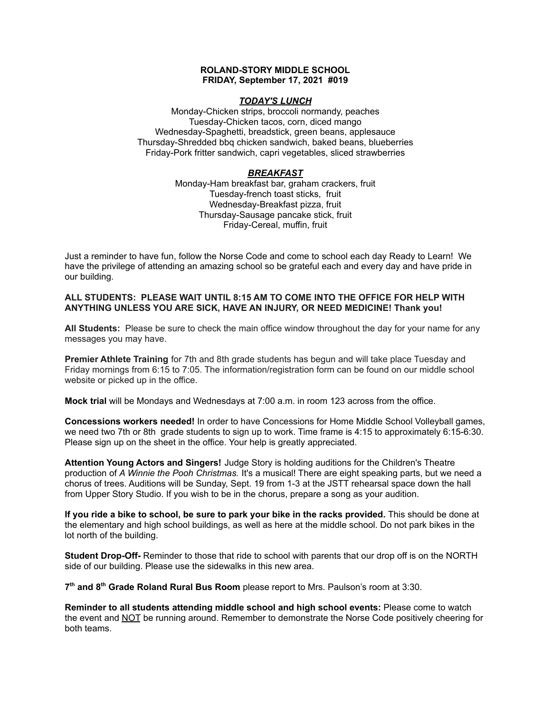#### **ROLAND-STORY MIDDLE SCHOOL FRIDAY, September 17, 2021 #019**

### *TODAY'S LUNCH*

Monday-Chicken strips, broccoli normandy, peaches Tuesday-Chicken tacos, corn, diced mango Wednesday-Spaghetti, breadstick, green beans, applesauce Thursday-Shredded bbq chicken sandwich, baked beans, blueberries Friday-Pork fritter sandwich, capri vegetables, sliced strawberries

### *BREAKFAST*

Monday-Ham breakfast bar, graham crackers, fruit Tuesday-french toast sticks, fruit Wednesday-Breakfast pizza, fruit Thursday-Sausage pancake stick, fruit Friday-Cereal, muffin, fruit

Just a reminder to have fun, follow the Norse Code and come to school each day Ready to Learn! We have the privilege of attending an amazing school so be grateful each and every day and have pride in our building.

### **ALL STUDENTS: PLEASE WAIT UNTIL 8:15 AM TO COME INTO THE OFFICE FOR HELP WITH ANYTHING UNLESS YOU ARE SICK, HAVE AN INJURY, OR NEED MEDICINE! Thank you!**

**All Students:** Please be sure to check the main office window throughout the day for your name for any messages you may have.

**Premier Athlete Training** for 7th and 8th grade students has begun and will take place Tuesday and Friday mornings from 6:15 to 7:05. The information/registration form can be found on our middle school website or picked up in the office.

**Mock trial** will be Mondays and Wednesdays at 7:00 a.m. in room 123 across from the office.

**Concessions workers needed!** In order to have Concessions for Home Middle School Volleyball games, we need two 7th or 8th grade students to sign up to work. Time frame is 4:15 to approximately 6:15-6:30. Please sign up on the sheet in the office. Your help is greatly appreciated.

**Attention Young Actors and Singers!** Judge Story is holding auditions for the Children's Theatre production of *A Winnie the Pooh Christmas.* It's a musical! There are eight speaking parts, but we need a chorus of trees. Auditions will be Sunday, Sept. 19 from 1-3 at the JSTT rehearsal space down the hall from Upper Story Studio. If you wish to be in the chorus, prepare a song as your audition.

**If you ride a bike to school, be sure to park your bike in the racks provided.** This should be done at the elementary and high school buildings, as well as here at the middle school. Do not park bikes in the lot north of the building.

**Student Drop-Off-** Reminder to those that ride to school with parents that our drop off is on the NORTH side of our building. Please use the sidewalks in this new area.

**7 th and 8 th Grade Roland Rural Bus Room** please report to Mrs. Paulson's room at 3:30.

**Reminder to all students attending middle school and high school events:** Please come to watch the event and NOT be running around. Remember to demonstrate the Norse Code positively cheering for both teams.